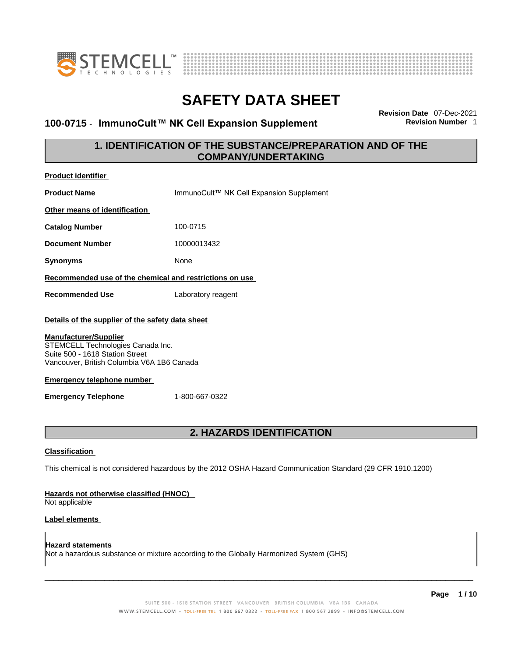



### **100-0715 · ImmunoCult™ NK Cell Expansion Supplement**

**Revision Date** 07-Dec-2021

### **1. IDENTIFICATION OF THE SUBSTANCE/PREPARATION AND OF THE COMPANY/UNDERTAKING**

| <b>Product identifier</b>                                                                                                                                                                                                                                                                   |                                                                                                             |  |
|---------------------------------------------------------------------------------------------------------------------------------------------------------------------------------------------------------------------------------------------------------------------------------------------|-------------------------------------------------------------------------------------------------------------|--|
| <b>Product Name</b>                                                                                                                                                                                                                                                                         | ImmunoCult™ NK Cell Expansion Supplement                                                                    |  |
| Other means of identification                                                                                                                                                                                                                                                               |                                                                                                             |  |
| <b>Catalog Number</b>                                                                                                                                                                                                                                                                       | 100-0715                                                                                                    |  |
| <b>Document Number</b>                                                                                                                                                                                                                                                                      | 10000013432                                                                                                 |  |
| <b>Synonyms</b>                                                                                                                                                                                                                                                                             | None                                                                                                        |  |
| Recommended use of the chemical and restrictions on use                                                                                                                                                                                                                                     |                                                                                                             |  |
| <b>Recommended Use</b>                                                                                                                                                                                                                                                                      | Laboratory reagent                                                                                          |  |
| Details of the supplier of the safety data sheet<br><b>Manufacturer/Supplier</b><br>STEMCELL Technologies Canada Inc.<br>Suite 500 - 1618 Station Street<br>Vancouver, British Columbia V6A 1B6 Canada<br><b>Emergency telephone number</b><br>1-800-667-0322<br><b>Emergency Telephone</b> |                                                                                                             |  |
| 2. HAZARDS IDENTIFICATION                                                                                                                                                                                                                                                                   |                                                                                                             |  |
| <b>Classification</b>                                                                                                                                                                                                                                                                       |                                                                                                             |  |
|                                                                                                                                                                                                                                                                                             | This chemical is not considered hazardous by the 2012 OSHA Hazard Communication Standard (29 CFR 1910.1200) |  |
| Hazards not otherwise classified (HNOC)<br>Not applicable                                                                                                                                                                                                                                   |                                                                                                             |  |

### **Label elements**

**Hazard statements**  Not a hazardous substance or mixture according to the Globally Harmonized System (GHS)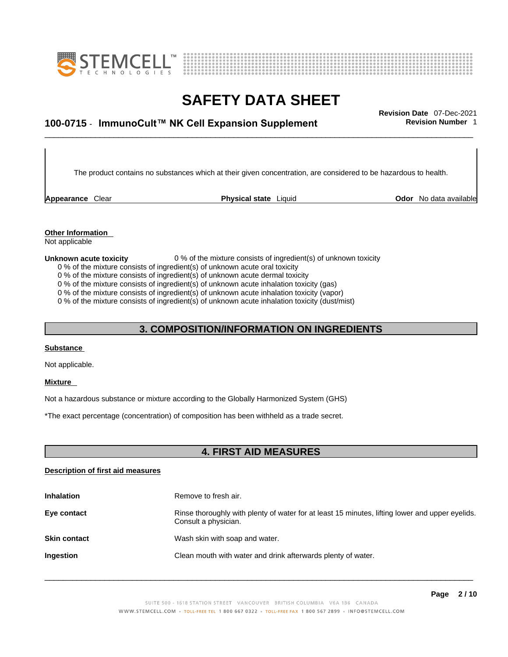



## \_\_\_\_\_\_\_\_\_\_\_\_\_\_\_\_\_\_\_\_\_\_\_\_\_\_\_\_\_\_\_\_\_\_\_\_\_\_\_\_\_\_\_\_\_\_\_\_\_\_\_\_\_\_\_\_\_\_\_\_\_\_\_\_\_\_\_\_\_\_\_\_\_\_\_\_\_\_\_\_\_\_\_\_\_\_\_\_\_\_\_\_\_ **Revision Date** 07-Dec-2021 **100-0715** - **ImmunoCult™ NK Cell Expansion Supplement Revision Number** 1

The product contains no substances which at their given concentration, are considered to be hazardous to health.

**Appearance** Clear **Physical state** Liquid

**Odor** No data available

**Other Information**  Not applicable

#### **Unknown acute toxicity** 0 % of the mixture consists of ingredient(s) of unknown toxicity

0 % of the mixture consists of ingredient(s) of unknown acute oral toxicity

0 % of the mixture consists of ingredient(s) of unknown acute dermal toxicity

0 % of the mixture consists of ingredient(s) of unknown acute inhalation toxicity (gas)

0 % of the mixture consists of ingredient(s) of unknown acute inhalation toxicity (vapor)

0 % of the mixture consists of ingredient(s) of unknown acute inhalation toxicity (dust/mist)

### **3. COMPOSITION/INFORMATION ON INGREDIENTS**

#### **Substance**

Not applicable.

#### **Mixture**

Not a hazardous substance or mixture according to the Globally Harmonized System (GHS)

\*The exact percentage (concentration) of composition has been withheld as a trade secret.

### **4. FIRST AID MEASURES**

#### **Description of first aid measures**

| <b>Inhalation</b>   | Remove to fresh air.                                                                                                    |
|---------------------|-------------------------------------------------------------------------------------------------------------------------|
| Eye contact         | Rinse thoroughly with plenty of water for at least 15 minutes, lifting lower and upper eyelids.<br>Consult a physician. |
| <b>Skin contact</b> | Wash skin with soap and water.                                                                                          |
| Ingestion           | Clean mouth with water and drink afterwards plenty of water.                                                            |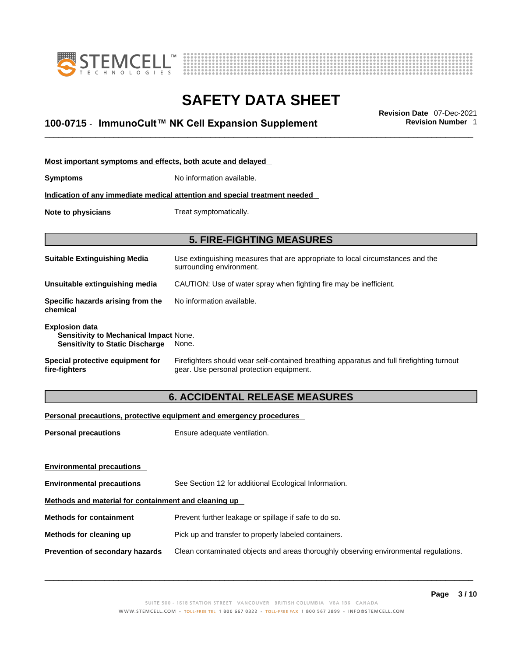



## \_\_\_\_\_\_\_\_\_\_\_\_\_\_\_\_\_\_\_\_\_\_\_\_\_\_\_\_\_\_\_\_\_\_\_\_\_\_\_\_\_\_\_\_\_\_\_\_\_\_\_\_\_\_\_\_\_\_\_\_\_\_\_\_\_\_\_\_\_\_\_\_\_\_\_\_\_\_\_\_\_\_\_\_\_\_\_\_\_\_\_\_\_ **Revision Date** 07-Dec-2021 **100-0715** - **ImmunoCult™ NK Cell Expansion Supplement Revision Number** 1

| Most important symptoms and effects, both acute and delayed                                                      |                                                                                                                                       |
|------------------------------------------------------------------------------------------------------------------|---------------------------------------------------------------------------------------------------------------------------------------|
| <b>Symptoms</b>                                                                                                  | No information available.                                                                                                             |
|                                                                                                                  | Indication of any immediate medical attention and special treatment needed                                                            |
| Note to physicians                                                                                               | Treat symptomatically.                                                                                                                |
|                                                                                                                  |                                                                                                                                       |
|                                                                                                                  | <b>5. FIRE-FIGHTING MEASURES</b>                                                                                                      |
| <b>Suitable Extinguishing Media</b>                                                                              | Use extinguishing measures that are appropriate to local circumstances and the<br>surrounding environment.                            |
| Unsuitable extinguishing media                                                                                   | CAUTION: Use of water spray when fighting fire may be inefficient.                                                                    |
| Specific hazards arising from the<br>chemical                                                                    | No information available.                                                                                                             |
| <b>Explosion data</b><br><b>Sensitivity to Mechanical Impact None.</b><br><b>Sensitivity to Static Discharge</b> | None.                                                                                                                                 |
| Special protective equipment for<br>fire-fighters                                                                | Firefighters should wear self-contained breathing apparatus and full firefighting turnout<br>gear. Use personal protection equipment. |

### **6. ACCIDENTAL RELEASE MEASURES**

### **Personal precautions, protective equipment and emergency procedures**

| <b>Personal precautions</b>                          | Ensure adequate ventilation.                                                         |  |
|------------------------------------------------------|--------------------------------------------------------------------------------------|--|
|                                                      |                                                                                      |  |
| <b>Environmental precautions</b>                     |                                                                                      |  |
| <b>Environmental precautions</b>                     | See Section 12 for additional Ecological Information.                                |  |
| Methods and material for containment and cleaning up |                                                                                      |  |
| <b>Methods for containment</b>                       | Prevent further leakage or spillage if safe to do so.                                |  |
| Methods for cleaning up                              | Pick up and transfer to properly labeled containers.                                 |  |
| Prevention of secondary hazards                      | Clean contaminated objects and areas thoroughly observing environmental regulations. |  |
|                                                      |                                                                                      |  |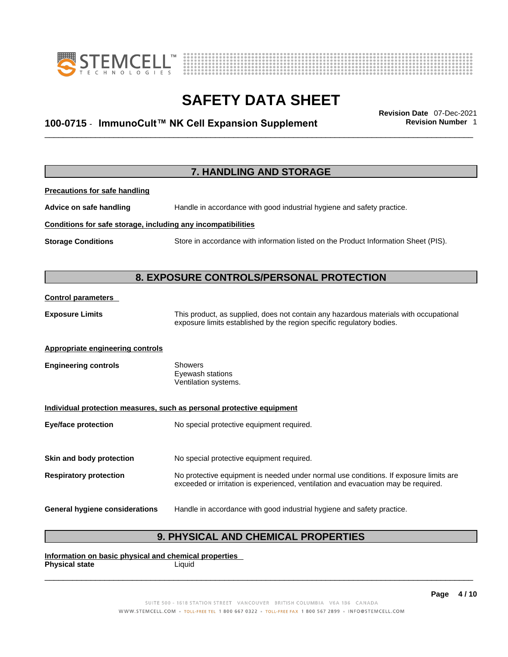



## \_\_\_\_\_\_\_\_\_\_\_\_\_\_\_\_\_\_\_\_\_\_\_\_\_\_\_\_\_\_\_\_\_\_\_\_\_\_\_\_\_\_\_\_\_\_\_\_\_\_\_\_\_\_\_\_\_\_\_\_\_\_\_\_\_\_\_\_\_\_\_\_\_\_\_\_\_\_\_\_\_\_\_\_\_\_\_\_\_\_\_\_\_ **Revision Date** 07-Dec-2021 **100-0715** - **ImmunoCult™ NK Cell Expansion Supplement Revision Number** 1

|                                                              | 7. HANDLING AND STORAGE                                                                                                                                                     |
|--------------------------------------------------------------|-----------------------------------------------------------------------------------------------------------------------------------------------------------------------------|
| <b>Precautions for safe handling</b>                         |                                                                                                                                                                             |
| Advice on safe handling                                      | Handle in accordance with good industrial hygiene and safety practice.                                                                                                      |
| Conditions for safe storage, including any incompatibilities |                                                                                                                                                                             |
| <b>Storage Conditions</b>                                    | Store in accordance with information listed on the Product Information Sheet (PIS).                                                                                         |
|                                                              |                                                                                                                                                                             |
|                                                              | 8. EXPOSURE CONTROLS/PERSONAL PROTECTION                                                                                                                                    |
| <b>Control parameters</b>                                    |                                                                                                                                                                             |
| <b>Exposure Limits</b>                                       | This product, as supplied, does not contain any hazardous materials with occupational<br>exposure limits established by the region specific regulatory bodies.              |
| <b>Appropriate engineering controls</b>                      |                                                                                                                                                                             |
| <b>Engineering controls</b>                                  | Showers<br>Eyewash stations<br>Ventilation systems.                                                                                                                         |
|                                                              | Individual protection measures, such as personal protective equipment                                                                                                       |
| <b>Eye/face protection</b>                                   | No special protective equipment required.                                                                                                                                   |
| Skin and body protection                                     | No special protective equipment required.                                                                                                                                   |
| <b>Respiratory protection</b>                                | No protective equipment is needed under normal use conditions. If exposure limits are<br>exceeded or irritation is experienced, ventilation and evacuation may be required. |
| <b>General hygiene considerations</b>                        | Handle in accordance with good industrial hygiene and safety practice.                                                                                                      |

### **9. PHYSICAL AND CHEMICAL PROPERTIES**

**Information on basic physical and chemical properties Physical state** Liquid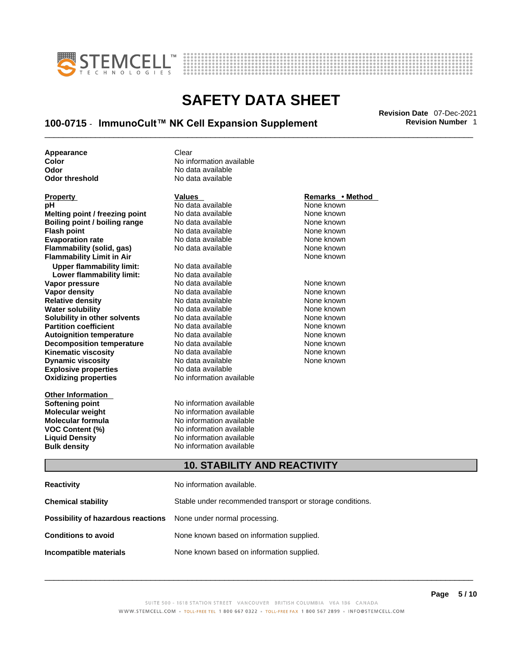



## \_\_\_\_\_\_\_\_\_\_\_\_\_\_\_\_\_\_\_\_\_\_\_\_\_\_\_\_\_\_\_\_\_\_\_\_\_\_\_\_\_\_\_\_\_\_\_\_\_\_\_\_\_\_\_\_\_\_\_\_\_\_\_\_\_\_\_\_\_\_\_\_\_\_\_\_\_\_\_\_\_\_\_\_\_\_\_\_\_\_\_\_\_ **Revision Date** 07-Dec-2021 **100-0715** - **ImmunoCult™ NK Cell Expansion Supplement Revision Number** 1

**Appearance Clear** 

**Explosive properties**<br> **Oxidizing properties**<br> **Oxidizing properties**<br> **No information available Oxidizing properties pH**<br> **No data available** Mome known<br> **No data available** Mome known<br>
None known **Melting point / freezing point** No data available<br> **Boiling point / boiling range** No data available **Boiling point / boiling range** No data available **None known**<br>
No data available **None known**<br>
None known **Evaporation rate Cone Cone Access Mone Cone Cone Cone Access Provident Cone Cone Access Provident Cone known**<br> **Flammability (solid. gas)** No data available Cone Cone Known **Flammability (solid, gas)** No data available None known **Flammability Limit in Air None known None known Upper flammability limit:** No data available **Lower flammability limit:** No data available **Vapor pressure** 1980 in the Modata available 1980 in the known None known<br> **Vapor density** 1980 in the None Known None known None known **Vapor density** No data available None known **Relative density Water solubility** No data available None known **Solubility in other solvents** No data available None known **Partition coefficient**<br> **Autoignition temperature**<br>
No data available None Known<br>
None known **Autoignition temperature** Mo data available Mone known<br> **Decomposition temperature** No data available None known **Decomposition temperature** No data available<br> **Kinematic viscosity** No data available **Kinematic viscosity No data available None known**<br> **Discussible No data available None known**<br>
None known **Dynamic viscosity No data available None known** 

**Other Information** 

**Color Color Color Color Color Color Color Color Color Color Color Color Color Color Color Color Color Color Color Color Color Color Color Color Color Color Color Color Odor No data available**<br> **Odor threshold No data available** No data available

**No data available** 

**Softening point**<br> **Molecular weight**<br> **Molecular weight**<br> **Molecular weight**<br> **Molecular weight No information available Molecular formula** No information available **VOC Content (%)**<br> **Content (%)**<br>
No information available<br>
No information available **No information available Bulk density No information available** 

#### **Property Remarks • Remarks • Remarks • Remarks • Remarks • Remarks • Remarks • Method**

### **10. STABILITY AND REACTIVITY**

| Reactivity                                                              | No information available.                                 |
|-------------------------------------------------------------------------|-----------------------------------------------------------|
| Chemical stability                                                      | Stable under recommended transport or storage conditions. |
| <b>Possibility of hazardous reactions</b> None under normal processing. |                                                           |
| <b>Conditions to avoid</b>                                              | None known based on information supplied.                 |
| Incompatible materials                                                  | None known based on information supplied.                 |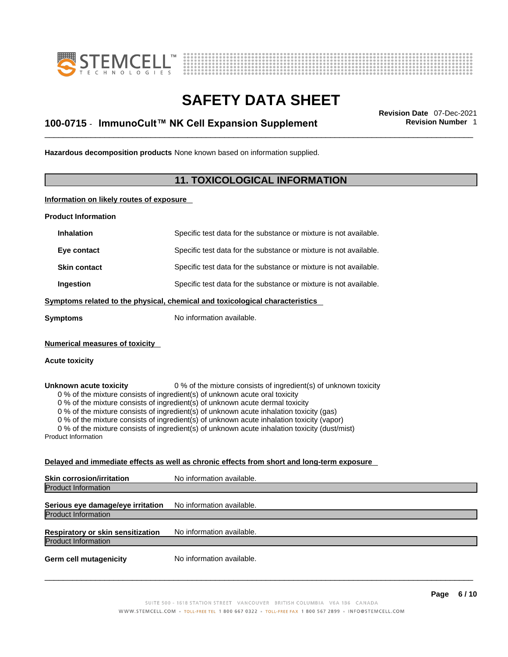



## \_\_\_\_\_\_\_\_\_\_\_\_\_\_\_\_\_\_\_\_\_\_\_\_\_\_\_\_\_\_\_\_\_\_\_\_\_\_\_\_\_\_\_\_\_\_\_\_\_\_\_\_\_\_\_\_\_\_\_\_\_\_\_\_\_\_\_\_\_\_\_\_\_\_\_\_\_\_\_\_\_\_\_\_\_\_\_\_\_\_\_\_\_ **Revision Date** 07-Dec-2021 **100-0715** - **ImmunoCult™ NK Cell Expansion Supplement Revision Number** 1

**Hazardous decomposition products** None known based on information supplied.

### **11. TOXICOLOGICAL INFORMATION**

**Information on likely routes of exposure**

**Product Information**

| Specific test data for the substance or mixture is not available.                                                                                                                                                                                                                                                           |
|-----------------------------------------------------------------------------------------------------------------------------------------------------------------------------------------------------------------------------------------------------------------------------------------------------------------------------|
| Specific test data for the substance or mixture is not available.                                                                                                                                                                                                                                                           |
| Specific test data for the substance or mixture is not available.                                                                                                                                                                                                                                                           |
| Specific test data for the substance or mixture is not available.                                                                                                                                                                                                                                                           |
| Symptoms related to the physical, chemical and toxicological characteristics                                                                                                                                                                                                                                                |
| No information available.                                                                                                                                                                                                                                                                                                   |
|                                                                                                                                                                                                                                                                                                                             |
| 0 % of the mixture consists of ingredient(s) of unknown toxicity<br>0 % of the mixture consists of ingredient(s) of unknown acute oral toxicity<br>0 % of the mixture consists of ingredient(s) of unknown acute dermal toxicity<br>0 % of the mixture consists of ingredient(s) of unknown acute inhalation toxicity (gas) |
|                                                                                                                                                                                                                                                                                                                             |

0 % of the mixture consists of ingredient(s) of unknown acute inhalation toxicity (vapor)

0 % of the mixture consists of ingredient(s) of unknown acute inhalation toxicity (dust/mist)

Product Information

### **Delayed and immediate effects as well as chronic effects from short and long-term exposure**

| <b>Skin corrosion/irritation</b>                                | No information available. |
|-----------------------------------------------------------------|---------------------------|
| <b>Product Information</b>                                      |                           |
| Serious eye damage/eye irritation<br><b>Product Information</b> | No information available. |
|                                                                 |                           |
| <b>Respiratory or skin sensitization</b>                        | No information available. |
| <b>Product Information</b>                                      |                           |
| <b>Germ cell mutagenicity</b>                                   | No information available. |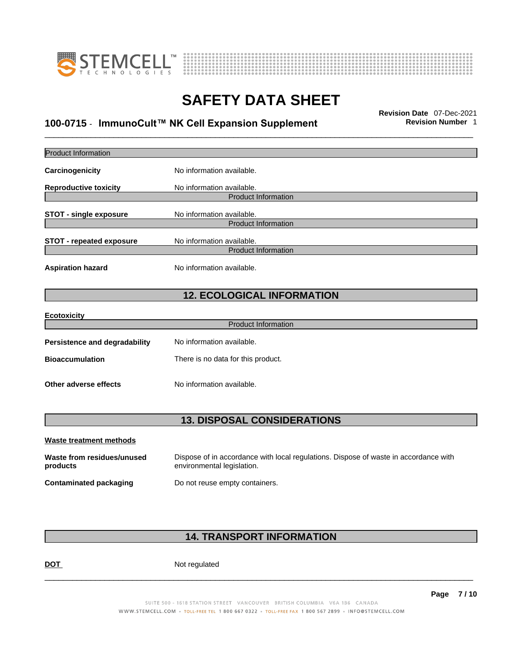



## \_\_\_\_\_\_\_\_\_\_\_\_\_\_\_\_\_\_\_\_\_\_\_\_\_\_\_\_\_\_\_\_\_\_\_\_\_\_\_\_\_\_\_\_\_\_\_\_\_\_\_\_\_\_\_\_\_\_\_\_\_\_\_\_\_\_\_\_\_\_\_\_\_\_\_\_\_\_\_\_\_\_\_\_\_\_\_\_\_\_\_\_\_ **Revision Date** 07-Dec-2021 **100-0715** - **ImmunoCult™ NK Cell Expansion Supplement Revision Number** 1

| <b>Product Information</b><br>No information available.<br>No information available.<br><b>Product Information</b><br>No information available.<br><b>Product Information</b><br>No information available.<br><b>Product Information</b><br>No information available.<br><b>12. ECOLOGICAL INFORMATION</b> |  |
|------------------------------------------------------------------------------------------------------------------------------------------------------------------------------------------------------------------------------------------------------------------------------------------------------------|--|
| Carcinogenicity                                                                                                                                                                                                                                                                                            |  |
| <b>Reproductive toxicity</b><br><b>STOT - single exposure</b>                                                                                                                                                                                                                                              |  |
|                                                                                                                                                                                                                                                                                                            |  |
|                                                                                                                                                                                                                                                                                                            |  |
| <b>STOT - repeated exposure</b><br><b>Aspiration hazard</b>                                                                                                                                                                                                                                                |  |
|                                                                                                                                                                                                                                                                                                            |  |
|                                                                                                                                                                                                                                                                                                            |  |
|                                                                                                                                                                                                                                                                                                            |  |
|                                                                                                                                                                                                                                                                                                            |  |
|                                                                                                                                                                                                                                                                                                            |  |
|                                                                                                                                                                                                                                                                                                            |  |
|                                                                                                                                                                                                                                                                                                            |  |
|                                                                                                                                                                                                                                                                                                            |  |
| <b>Ecotoxicity</b><br><b>Product Information</b>                                                                                                                                                                                                                                                           |  |
|                                                                                                                                                                                                                                                                                                            |  |
| No information available.<br><b>Persistence and degradability</b>                                                                                                                                                                                                                                          |  |
| <b>Bioaccumulation</b><br>There is no data for this product.                                                                                                                                                                                                                                               |  |
|                                                                                                                                                                                                                                                                                                            |  |
| No information available.<br><b>Other adverse effects</b>                                                                                                                                                                                                                                                  |  |
|                                                                                                                                                                                                                                                                                                            |  |
|                                                                                                                                                                                                                                                                                                            |  |
| <b>13. DISPOSAL CONSIDERATIONS</b>                                                                                                                                                                                                                                                                         |  |
| Waste treatment methods                                                                                                                                                                                                                                                                                    |  |
| Waste from residues/unused<br>Dispose of in accordance with local regulations. Dispose of waste in accordance with<br>environmental legislation.<br>products                                                                                                                                               |  |
|                                                                                                                                                                                                                                                                                                            |  |

### **14. TRANSPORT INFORMATION**

DOT Not regulated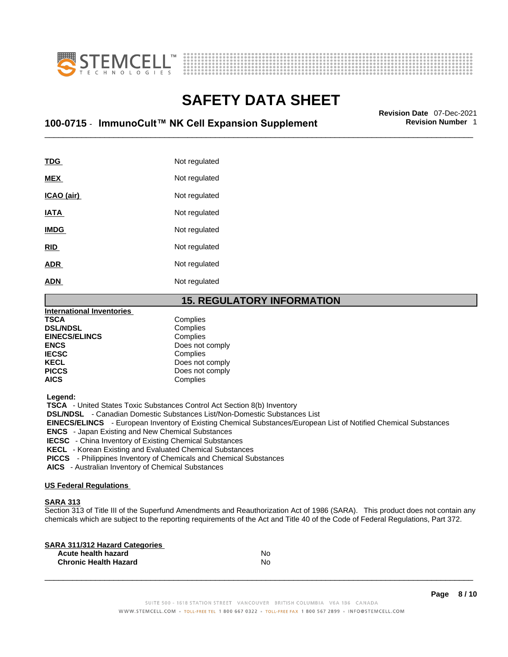



## \_\_\_\_\_\_\_\_\_\_\_\_\_\_\_\_\_\_\_\_\_\_\_\_\_\_\_\_\_\_\_\_\_\_\_\_\_\_\_\_\_\_\_\_\_\_\_\_\_\_\_\_\_\_\_\_\_\_\_\_\_\_\_\_\_\_\_\_\_\_\_\_\_\_\_\_\_\_\_\_\_\_\_\_\_\_\_\_\_\_\_\_\_ **Revision Date** 07-Dec-2021 **100-0715** - **ImmunoCult™ NK Cell Expansion Supplement Revision Number** 1

| TDG         | Not regulated |
|-------------|---------------|
| <b>MEX</b>  | Not regulated |
| ICAO (air)  | Not regulated |
| <b>IATA</b> | Not regulated |
| <b>IMDG</b> | Not regulated |
| <b>RID</b>  | Not regulated |
| <b>ADR</b>  | Not regulated |
| <b>ADN</b>  | Not regulated |
|             |               |

### **15. REGULATORY INFORMATION**

| <b>International Inventories</b> |                 |
|----------------------------------|-----------------|
| <b>TSCA</b>                      | Complies        |
| <b>DSL/NDSL</b>                  | Complies        |
| <b>EINECS/ELINCS</b>             | Complies        |
| <b>ENCS</b>                      | Does not comply |
| <b>IECSC</b>                     | Complies        |
| <b>KECL</b>                      | Does not comply |
| <b>PICCS</b>                     | Does not comply |
| <b>AICS</b>                      | Complies        |
|                                  |                 |

 **Legend:** 

 **TSCA** - United States Toxic Substances Control Act Section 8(b) Inventory

 **DSL/NDSL** - Canadian Domestic Substances List/Non-Domestic Substances List

 **EINECS/ELINCS** - European Inventory of Existing Chemical Substances/European List of Notified Chemical Substances

 **ENCS** - Japan Existing and New Chemical Substances

 **IECSC** - China Inventory of Existing Chemical Substances

 **KECL** - Korean Existing and Evaluated Chemical Substances

 **PICCS** - Philippines Inventory of Chemicals and Chemical Substances

 **AICS** - Australian Inventory of Chemical Substances

#### **US Federal Regulations**

#### **SARA 313**

Section 313 of Title III of the Superfund Amendments and Reauthorization Act of 1986 (SARA). This product does not contain any chemicals which are subject to the reporting requirements of the Act and Title 40 of the Code of Federal Regulations, Part 372.

| No |  |
|----|--|
| No |  |
|    |  |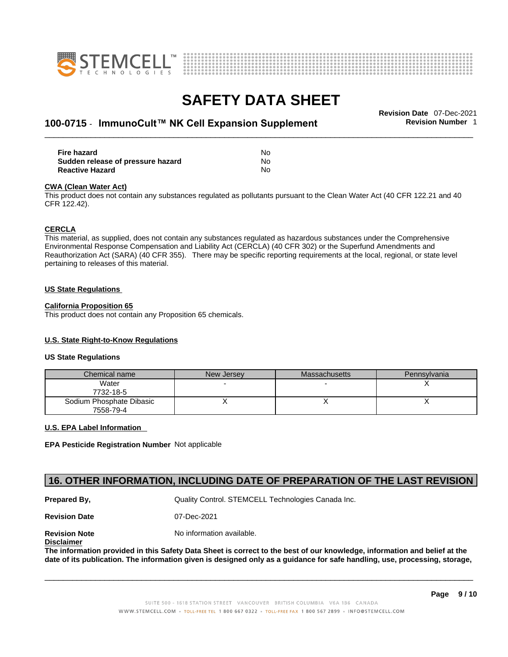



## \_\_\_\_\_\_\_\_\_\_\_\_\_\_\_\_\_\_\_\_\_\_\_\_\_\_\_\_\_\_\_\_\_\_\_\_\_\_\_\_\_\_\_\_\_\_\_\_\_\_\_\_\_\_\_\_\_\_\_\_\_\_\_\_\_\_\_\_\_\_\_\_\_\_\_\_\_\_\_\_\_\_\_\_\_\_\_\_\_\_\_\_\_ **Revision Date** 07-Dec-2021 **100-0715** - **ImmunoCult™ NK Cell Expansion Supplement Revision Number** 1

| <b>Fire hazard</b>                | No  |
|-----------------------------------|-----|
| Sudden release of pressure hazard | No  |
| <b>Reactive Hazard</b>            | No. |

#### **CWA** (Clean Water Act)

This product does not contain any substances regulated as pollutants pursuant to the Clean Water Act (40 CFR 122.21 and 40 CFR 122.42).

#### **CERCLA**

This material, as supplied, does not contain any substances regulated as hazardous substances under the Comprehensive Environmental Response Compensation and Liability Act (CERCLA) (40 CFR 302) or the Superfund Amendments and Reauthorization Act (SARA) (40 CFR 355). There may be specific reporting requirements at the local, regional, or state level pertaining to releases of this material.

#### **US State Regulations**

#### **California Proposition 65**

This product does not contain any Proposition 65 chemicals.

#### **U.S. State Right-to-Know Regulations**

#### **US State Regulations**

| Chemical name                         | New Jersey | Massachusetts | Pennsylvania |
|---------------------------------------|------------|---------------|--------------|
| Water<br>7732-18-5                    |            |               |              |
| Sodium Phosphate Dibasic<br>7558-79-4 |            |               |              |

#### **U.S. EPA Label Information**

**EPA Pesticide Registration Number** Not applicable

### **16. OTHER INFORMATION, INCLUDING DATE OF PREPARATION OF THE LAST REVISION**

**Prepared By, State Control. STEMCELL Technologies Canada Inc.** Cuality Control. STEMCELL Technologies Canada Inc.

**Revision Date** 07-Dec-2021

**Disclaimer**

**Revision Note** Noinformation available.

The information provided in this Safety Data Sheet is correct to the best of our knowledge, information and belief at the date of its publication. The information given is designed only as a guidance for safe handling, use, processing, storage,